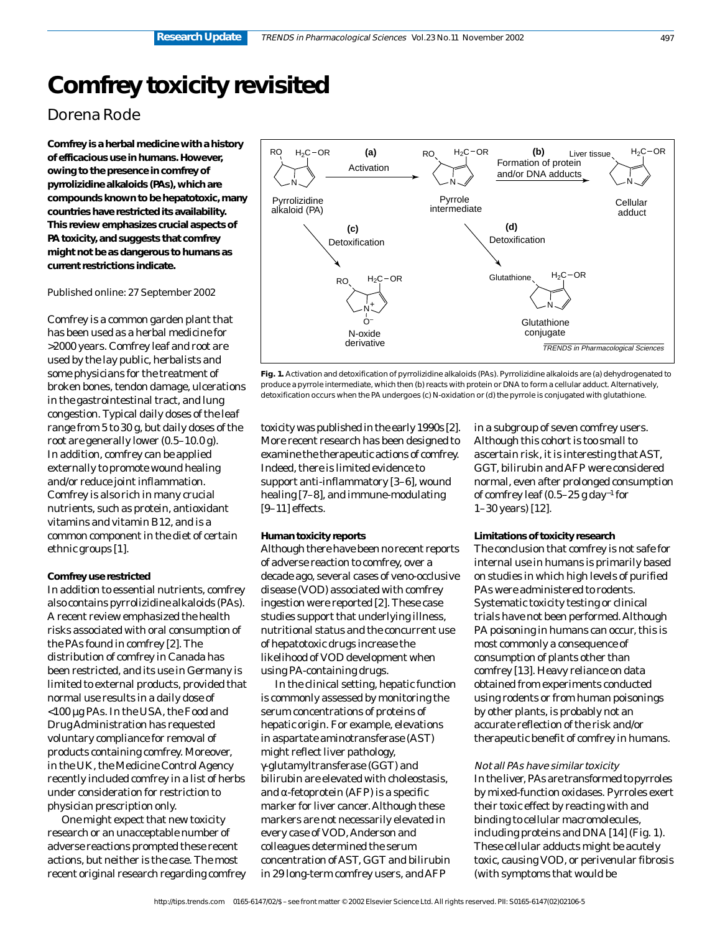# **Comfrey toxicity revisited**

# Dorena Rode

**Comfrey is a herbal medicine with a history of efficacious use in humans. However, owing to the presence in comfrey of pyrrolizidine alkaloids (PAs), which are compounds known to be hepatotoxic, many countries have restricted its availability. This review emphasizes crucial aspects of PA toxicity, and suggests that comfrey might not be as dangerous to humans as current restrictions indicate.**

#### Published online: 27 September 2002

Comfrey is a common garden plant that has been used as a herbal medicine for >2000 years. Comfrey leaf and root are used by the lay public, herbalists and some physicians for the treatment of broken bones, tendon damage, ulcerations in the gastrointestinal tract, and lung congestion. Typical daily doses of the leaf range from 5 to 30 g, but daily doses of the root are generally lower (0.5–10.0 g). In addition, comfrey can be applied externally to promote wound healing and/or reduce joint inflammation. Comfrey is also rich in many crucial nutrients, such as protein, antioxidant vitamins and vitamin B12, and is a common component in the diet of certain ethnic groups [1].

#### **Comfrey use restricted**

In addition to essential nutrients, comfrey also contains pyrrolizidine alkaloids (PAs). A recent review emphasized the health risks associated with oral consumption of the PAs found in comfrey [2]. The distribution of comfrey in Canada has been restricted, and its use in Germany is limited to external products, provided that normal use results in a daily dose of <100 µg PAs. In the USA, the Food and Drug Administration has requested voluntary compliance for removal of products containing comfrey. Moreover, in the UK, the Medicine Control Agency recently included comfrey in a list of herbs under consideration for restriction to physician prescription only.

One might expect that new toxicity research or an unacceptable number of adverse reactions prompted these recent actions, but neither is the case. The most recent original research regarding comfrey



**Fig. 1.** Activation and detoxification of pyrrolizidine alkaloids (PAs). Pyrrolizidine alkaloids are (a) dehydrogenated to produce a pyrrole intermediate, which then (b) reacts with protein or DNA to form a cellular adduct. Alternatively, detoxification occurs when the PA undergoes (c) N-oxidation or (d) the pyrrole is conjugated with glutathione.

toxicity was published in the early 1990s [2]. More recent research has been designed to examine the therapeutic actions of comfrey. Indeed, there is limited evidence to support anti-inflammatory [3–6], wound healing [7–8], and immune-modulating [9–11] effects.

#### **Human toxicity reports**

Although there have been no recent reports of adverse reaction to comfrey, over a decade ago, several cases of veno-occlusive disease (VOD) associated with comfrey ingestion were reported [2]. These case studies support that underlying illness, nutritional status and the concurrent use of hepatotoxic drugs increase the likelihood of VOD development when using PA-containing drugs.

In the clinical setting, hepatic function is commonly assessed by monitoring the serum concentrations of proteins of hepatic origin. For example, elevations in aspartate aminotransferase (AST) might reflect liver pathology, γ-glutamyltransferase (GGT) and bilirubin are elevated with choleostasis, and  $\alpha$ -fetoprotein (AFP) is a specific marker for liver cancer. Although these markers are not necessarily elevated in every case of VOD, Anderson and colleagues determined the serum concentration of AST, GGT and bilirubin in 29 long-term comfrey users, and AFP

in a subgroup of seven comfrey users. Although this cohort is too small to ascertain risk, it is interesting that AST, GGT, bilirubin and AFP were considered normal, even after prolonged consumption of comfrey leaf (0.5–25 g day−1 for 1–30 years) [12].

#### **Limitations of toxicity research**

The conclusion that comfrey is not safe for internal use in humans is primarily based on studies in which high levels of purified PAs were administered to rodents. Systematic toxicity testing or clinical trials have not been performed. Although PA poisoning in humans can occur, this is most commonly a consequence of consumption of plants other than comfrey [13]. Heavy reliance on data obtained from experiments conducted using rodents or from human poisonings by other plants, is probably not an accurate reflection of the risk and/or therapeutic benefit of comfrey in humans.

#### Not all PAs have similar toxicity

In the liver, PAs are transformed to pyrroles by mixed-function oxidases. Pyrroles exert their toxic effect by reacting with and binding to cellular macromolecules, including proteins and DNA [14] (Fig. 1). These cellular adducts might be acutely toxic, causing VOD, or perivenular fibrosis (with symptoms that would be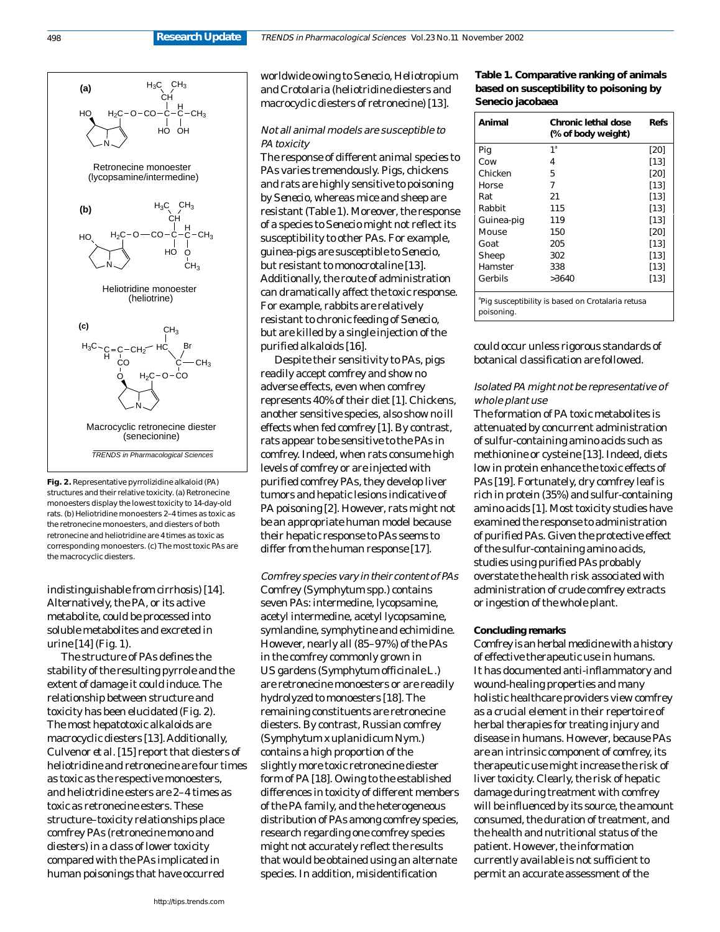

**Fig. 2.** Representative pyrrolizidine alkaloid (PA) structures and their relative toxicity. (a) Retronecine monoesters display the lowest toxicity to 14-day-old rats. (b) Heliotridine monoesters 2–4 times as toxic as the retronecine monoesters, and diesters of both retronecine and heliotridine are 4 times as toxic as corresponding monoesters. (c) The most toxic PAs are the macrocyclic diesters.

indistinguishable from cirrhosis) [14]. Alternatively, the PA, or its active metabolite, could be processed into soluble metabolites and excreted in urine [14] (Fig. 1).

The structure of PAs defines the stability of the resulting pyrrole and the extent of damage it could induce. The relationship between structure and toxicity has been elucidated (Fig. 2). The most hepatotoxic alkaloids are macrocyclic diesters [13]. Additionally, Culvenor *et al.* [15] report that diesters of heliotridine and retronecine are four times as toxic as the respective monoesters, and heliotridine esters are 2–4 times as toxic as retronecine esters. These structure–toxicity relationships place comfrey PAs (retronecine mono and diesters) in a class of lower toxicity compared with the PAs implicated in human poisonings that have occurred

worldwide owing to *Senecio, Heliotropium* and *Crotolaria* (heliotridine diesters and macrocyclic diesters of retronecine) [13].

#### Not all animal models are susceptible to PA toxicity

The response of different animal species to PAs varies tremendously. Pigs, chickens and rats are highly sensitive to poisoning by *Senecio*, whereas mice and sheep are resistant (Table 1). Moreover, the response of a species to *Senecio* might not reflect its susceptibility to other PAs. For example, guinea-pigs are susceptible to *Senecio*, but resistant to monocrotaline [13]. Additionally, the route of administration can dramatically affect the toxic response. For example, rabbits are relatively resistant to chronic feeding of *Senecio,*  but are killed by a single injection of the purified alkaloids [16].

Despite their sensitivity to PAs, pigs readily accept comfrey and show no adverse effects, even when comfrey represents 40% of their diet [1]. Chickens, another sensitive species, also show no ill effects when fed comfrey [1]. By contrast, rats appear to be sensitive to the PAs in comfrey. Indeed, when rats consume high levels of comfrey or are injected with purified comfrey PAs, they develop liver tumors and hepatic lesions indicative of PA poisoning [2]. However, rats might not be an appropriate human model because their hepatic response to PAs seems to differ from the human response [17].

Comfrey species vary in their content of PAs Comfrey (*Symphytum* spp.) contains seven PAs: intermedine, lycopsamine, acetyl intermedine, acetyl lycopsamine, symlandine, symphytine and echimidine. However, nearly all (85–97%) of the PAs in the comfrey commonly grown in US gardens (*Symphytum officinale* L.) are retronecine monoesters or are readily hydrolyzed to monoesters [18]. The remaining constituents are retronecine diesters. By contrast, Russian comfrey (*Symphytum x uplanidicum* Nym.) contains a high proportion of the slightly more toxic retronecine diester form of PA [18]. Owing to the established differences in toxicity of different members of the PA family, and the heterogeneous distribution of PAs among comfrey species, research regarding one comfrey species might not accurately reflect the results that would be obtained using an alternate species. In addition, misidentification

### **Table 1. Comparative ranking of animals based on susceptibility to poisoning by** *Senecio jacobaea*

| Animal     | Chronic lethal dose<br>(% of body weight)        | Refs   |
|------------|--------------------------------------------------|--------|
| Pig        | 1 <sup>a</sup>                                   | [20]   |
| Cow        | 4                                                | $[13]$ |
| Chicken    | 5                                                | [20]   |
| Horse      | 7                                                | $[13]$ |
| Rat        | 21                                               | [13]   |
| Rabbit     | 115                                              | $[13]$ |
| Guinea-pig | 119                                              | $[13]$ |
| Mouse      | 150                                              | [20]   |
| Goat       | 205                                              | $[13]$ |
| Sheep      | 302                                              | $[13]$ |
| Hamster    | 338                                              | $[13]$ |
| Gerbils    | >3640                                            | $[13]$ |
| poisoning. | Pig susceptibility is based on Crotalaria retusa |        |

could occur unless rigorous standards of botanical classification are followed.

#### Isolated PA might not be representative of whole plant use

The formation of PA toxic metabolites is attenuated by concurrent administration of sulfur-containing amino acids such as methionine or cysteine [13]. Indeed, diets low in protein enhance the toxic effects of PAs [19]. Fortunately, dry comfrey leaf is rich in protein (35%) and sulfur-containing amino acids [1]. Most toxicity studies have examined the response to administration of purified PAs. Given the protective effect of the sulfur-containing amino acids, studies using purified PAs probably overstate the health risk associated with administration of crude comfrey extracts or ingestion of the whole plant.

#### **Concluding remarks**

Comfrey is an herbal medicine with a history of effective therapeutic use in humans. It has documented anti-inflammatory and wound-healing properties and many holistic healthcare providers view comfrey as a crucial element in their repertoire of herbal therapies for treating injury and disease in humans. However, because PAs are an intrinsic component of comfrey, its therapeutic use might increase the risk of liver toxicity. Clearly, the risk of hepatic damage during treatment with comfrey will be influenced by its source, the amount consumed, the duration of treatment, and the health and nutritional status of the patient. However, the information currently available is not sufficient to permit an accurate assessment of the